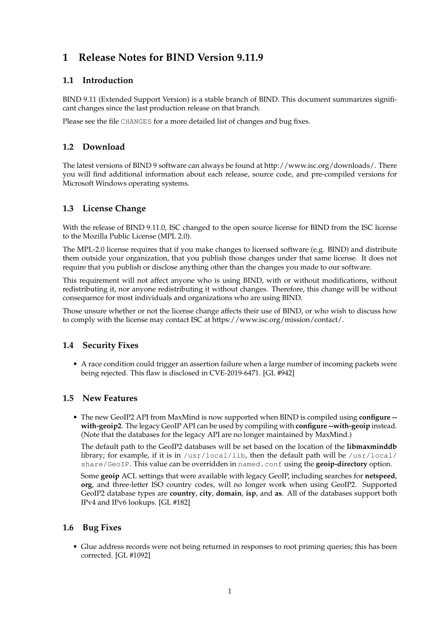# **1 Release Notes for BIND Version 9.11.9**

# **1.1 Introduction**

BIND 9.11 (Extended Support Version) is a stable branch of BIND. This document summarizes significant changes since the last production release on that branch.

Please see the file CHANGES for a more detailed list of changes and bug fixes.

## **1.2 Download**

The latest versions of BIND 9 software can always be found at http://www.isc.org/downloads/. There you will find additional information about each release, source code, and pre-compiled versions for Microsoft Windows operating systems.

### **1.3 License Change**

With the release of BIND 9.11.0, ISC changed to the open source license for BIND from the ISC license to the Mozilla Public License (MPL 2.0).

The MPL-2.0 license requires that if you make changes to licensed software (e.g. BIND) and distribute them outside your organization, that you publish those changes under that same license. It does not require that you publish or disclose anything other than the changes you made to our software.

This requirement will not affect anyone who is using BIND, with or without modifications, without redistributing it, nor anyone redistributing it without changes. Therefore, this change will be without consequence for most individuals and organizations who are using BIND.

Those unsure whether or not the license change affects their use of BIND, or who wish to discuss how to comply with the license may contact ISC at https://www.isc.org/mission/contact/.

#### **1.4 Security Fixes**

• A race condition could trigger an assertion failure when a large number of incoming packets were being rejected. This flaw is disclosed in CVE-2019-6471. [GL #942]

#### **1.5 New Features**

• The new GeoIP2 API from MaxMind is now supported when BIND is compiled using **configure - with-geoip2**. The legacy GeoIP API can be used by compiling with **configure --with-geoip** instead. (Note that the databases for the legacy API are no longer maintained by MaxMind.)

The default path to the GeoIP2 databases will be set based on the location of the **libmaxminddb** library; for example, if it is in  $/$ usr $/$ local $/$ lib, then the default path will be  $/$ usr $/$ local $/$ share/GeoIP. This value can be overridden in named.conf using the **geoip-directory** option.

Some **geoip** ACL settings that were available with legacy GeoIP, including searches for **netspeed**, **org**, and three-letter ISO country codes, will no longer work when using GeoIP2. Supported GeoIP2 database types are **country**, **city**, **domain**, **isp**, and **as**. All of the databases support both IPv4 and IPv6 lookups. [GL #182]

#### **1.6 Bug Fixes**

• Glue address records were not being returned in responses to root priming queries; this has been corrected. [GL #1092]